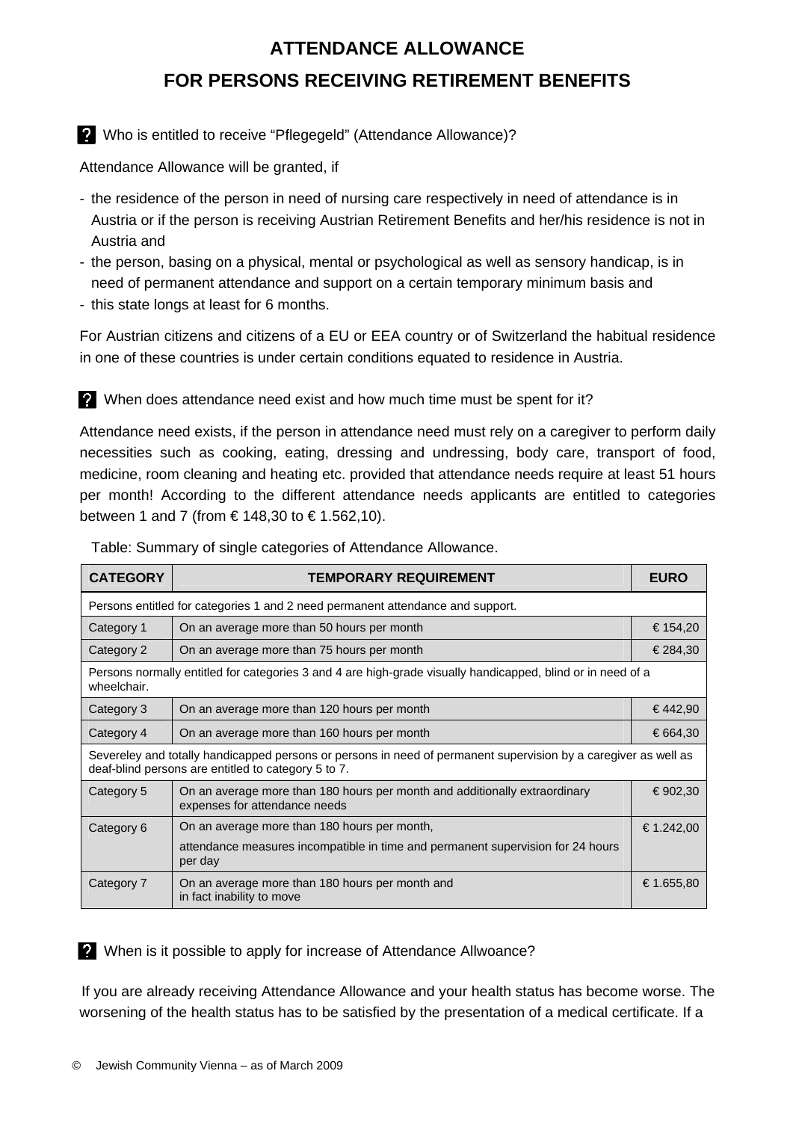## **ATTENDANCE ALLOWANCE FOR PERSONS RECEIVING RETIREMENT BENEFITS**

## Who is entitled to receive "Pflegegeld" (Attendance Allowance)?

Attendance Allowance will be granted, if

- the residence of the person in need of nursing care respectively in need of attendance is in Austria or if the person is receiving Austrian Retirement Benefits and her/his residence is not in Austria and
- the person, basing on a physical, mental or psychological as well as sensory handicap, is in need of permanent attendance and support on a certain temporary minimum basis and
- this state longs at least for 6 months.

For Austrian citizens and citizens of a EU or EEA country or of Switzerland the habitual residence in one of these countries is under certain conditions equated to residence in Austria.

When does attendance need exist and how much time must be spent for it?

Attendance need exists, if the person in attendance need must rely on a caregiver to perform daily necessities such as cooking, eating, dressing and undressing, body care, transport of food, medicine, room cleaning and heating etc. provided that attendance needs require at least 51 hours per month! According to the different attendance needs applicants are entitled to categories between 1 and 7 (from € 148,30 to € 1.562,10).

| Table: Summary of single categories of Attendance Allowance. |  |  |
|--------------------------------------------------------------|--|--|
|                                                              |  |  |

| <b>CATEGORY</b>                                                                                                                                                        | <b>TEMPORARY REQUIREMENT</b>                                                                                |            |  |  |
|------------------------------------------------------------------------------------------------------------------------------------------------------------------------|-------------------------------------------------------------------------------------------------------------|------------|--|--|
| Persons entitled for categories 1 and 2 need permanent attendance and support.                                                                                         |                                                                                                             |            |  |  |
| Category 1                                                                                                                                                             | On an average more than 50 hours per month                                                                  |            |  |  |
| Category 2                                                                                                                                                             | On an average more than 75 hours per month                                                                  |            |  |  |
| Persons normally entitled for categories 3 and 4 are high-grade visually handicapped, blind or in need of a<br>wheelchair.                                             |                                                                                                             |            |  |  |
| Category 3                                                                                                                                                             | On an average more than 120 hours per month                                                                 | €442,90    |  |  |
| Category 4                                                                                                                                                             | On an average more than 160 hours per month                                                                 |            |  |  |
| Severeley and totally handicapped persons or persons in need of permanent supervision by a caregiver as well as<br>deaf-blind persons are entitled to category 5 to 7. |                                                                                                             |            |  |  |
| Category 5                                                                                                                                                             | On an average more than 180 hours per month and additionally extraordinary<br>expenses for attendance needs | € 902,30   |  |  |
| Category 6                                                                                                                                                             | On an average more than 180 hours per month,                                                                | €1.242,00  |  |  |
|                                                                                                                                                                        | attendance measures incompatible in time and permanent supervision for 24 hours<br>per day                  |            |  |  |
| Category 7                                                                                                                                                             | On an average more than 180 hours per month and<br>in fact inability to move                                | € 1.655,80 |  |  |

When is it possible to apply for increase of Attendance Allwoance?

If you are already receiving Attendance Allowance and your health status has become worse. The worsening of the health status has to be satisfied by the presentation of a medical certificate. If a